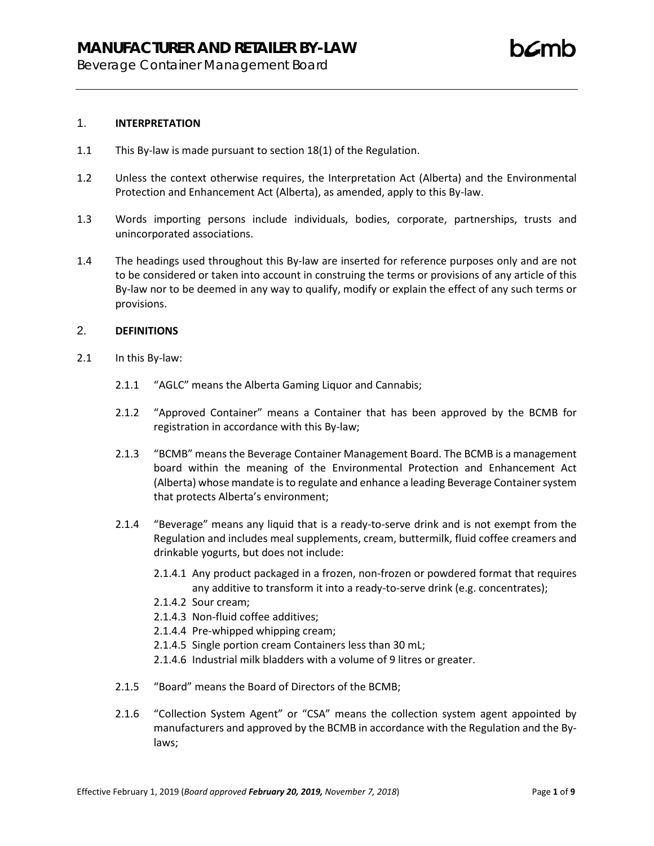Beverage Container Management Board

- 1.1 This By-law is made pursuant to section 18(1) of the Regulation.
- 1.2 Unless the context otherwise requires, the Interpretation Act (Alberta) and the Environmental Protection and Enhancement Act (Alberta), as amended, apply to this By-law.
- 1.3 Words importing persons include individuals, bodies, corporate, partnerships, trusts and unincorporated associations.
- 1.4 The headings used throughout this By-law are inserted for reference purposes only and are not to be considered or taken into account in construing the terms or provisions of any article of this By-law nor to be deemed in any way to qualify, modify or explain the effect of any such terms or provisions.

#### 2. **DEFINITIONS**

- 2.1 In this By-law:
	- 2.1.1 "AGLC" means the Alberta Gaming Liquor and Cannabis;
	- 2.1.2 "Approved Container" means a Container that has been approved by the BCMB for registration in accordance with this By-law;
	- 2.1.3 "BCMB" means the Beverage Container Management Board. The BCMB is a management board within the meaning of the Environmental Protection and Enhancement Act (Alberta) whose mandate is to regulate and enhance a leading Beverage Container system that protects Alberta's environment;
	- 2.1.4 "Beverage" means any liquid that is a ready-to-serve drink and is not exempt from the Regulation and includes meal supplements, cream, buttermilk, fluid coffee creamers and drinkable yogurts, but does not include:
		- 2.1.4.1 Any product packaged in a frozen, non-frozen or powdered format that requires any additive to transform it into a ready-to-serve drink (e.g. concentrates);
		- 2.1.4.2 Sour cream;
		- 2.1.4.3 Non-fluid coffee additives;
		- 2.1.4.4 Pre-whipped whipping cream;
		- 2.1.4.5 Single portion cream Containers less than 30 mL;
		- 2.1.4.6 Industrial milk bladders with a volume of 9 litres or greater.
	- 2.1.5 "Board" means the Board of Directors of the BCMB;
	- 2.1.6 "Collection System Agent" or "CSA" means the collection system agent appointed by manufacturers and approved by the BCMB in accordance with the Regulation and the Bylaws;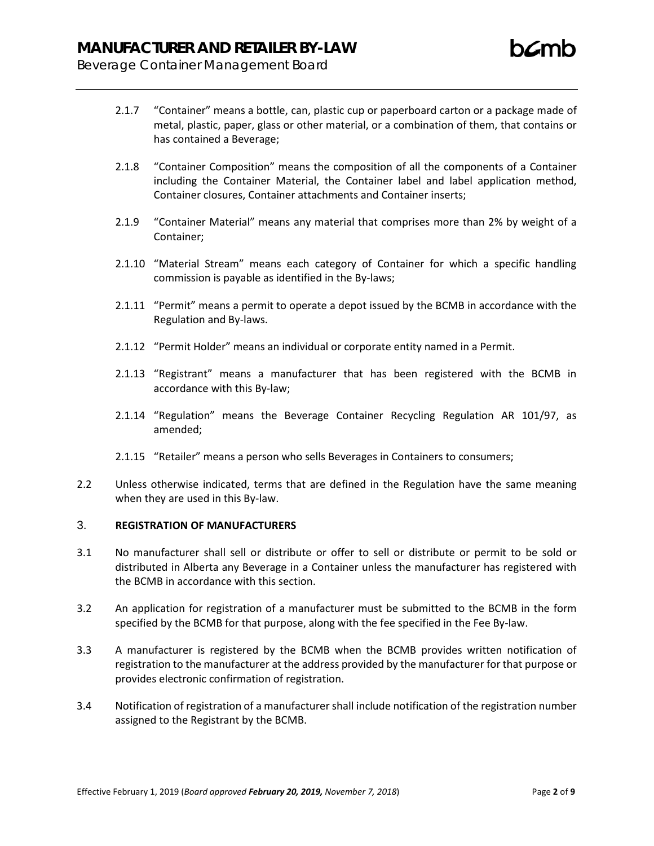- 2.1.7 "Container" means a bottle, can, plastic cup or paperboard carton or a package made of metal, plastic, paper, glass or other material, or a combination of them, that contains or has contained a Beverage;
- 2.1.8 "Container Composition" means the composition of all the components of a Container including the Container Material, the Container label and label application method, Container closures, Container attachments and Container inserts;
- 2.1.9 "Container Material" means any material that comprises more than 2% by weight of a Container;
- 2.1.10 "Material Stream" means each category of Container for which a specific handling commission is payable as identified in the By-laws;
- 2.1.11 "Permit" means a permit to operate a depot issued by the BCMB in accordance with the Regulation and By-laws.
- 2.1.12 "Permit Holder" means an individual or corporate entity named in a Permit.
- 2.1.13 "Registrant" means a manufacturer that has been registered with the BCMB in accordance with this By-law;
- 2.1.14 "Regulation" means the Beverage Container Recycling Regulation AR 101/97, as amended;
- 2.1.15 "Retailer" means a person who sells Beverages in Containers to consumers;
- 2.2 Unless otherwise indicated, terms that are defined in the Regulation have the same meaning when they are used in this By-law.

## 3. **REGISTRATION OF MANUFACTURERS**

- 3.1 No manufacturer shall sell or distribute or offer to sell or distribute or permit to be sold or distributed in Alberta any Beverage in a Container unless the manufacturer has registered with the BCMB in accordance with this section.
- 3.2 An application for registration of a manufacturer must be submitted to the BCMB in the form specified by the BCMB for that purpose, along with the fee specified in the Fee By-law.
- 3.3 A manufacturer is registered by the BCMB when the BCMB provides written notification of registration to the manufacturer at the address provided by the manufacturer for that purpose or provides electronic confirmation of registration.
- 3.4 Notification of registration of a manufacturer shall include notification of the registration number assigned to the Registrant by the BCMB.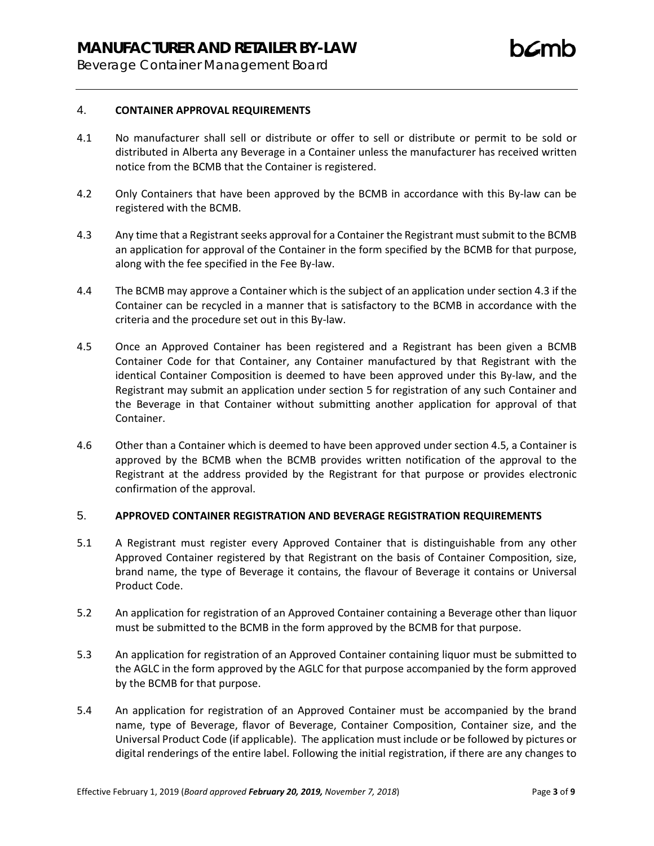Beverage Container Management Board

## 4. **CONTAINER APPROVAL REQUIREMENTS**

- 4.1 No manufacturer shall sell or distribute or offer to sell or distribute or permit to be sold or distributed in Alberta any Beverage in a Container unless the manufacturer has received written notice from the BCMB that the Container is registered.
- 4.2 Only Containers that have been approved by the BCMB in accordance with this By-law can be registered with the BCMB.
- 4.3 Any time that a Registrant seeks approval for a Container the Registrant must submit to the BCMB an application for approval of the Container in the form specified by the BCMB for that purpose, along with the fee specified in the Fee By-law.
- 4.4 The BCMB may approve a Container which is the subject of an application under section 4.3 if the Container can be recycled in a manner that is satisfactory to the BCMB in accordance with the criteria and the procedure set out in this By-law.
- 4.5 Once an Approved Container has been registered and a Registrant has been given a BCMB Container Code for that Container, any Container manufactured by that Registrant with the identical Container Composition is deemed to have been approved under this By-law, and the Registrant may submit an application under section [5](#page-2-0) for registration of any such Container and the Beverage in that Container without submitting another application for approval of that Container.
- 4.6 Other than a Container which is deemed to have been approved under section 4.5, a Container is approved by the BCMB when the BCMB provides written notification of the approval to the Registrant at the address provided by the Registrant for that purpose or provides electronic confirmation of the approval.

## <span id="page-2-0"></span>5. **APPROVED CONTAINER REGISTRATION AND BEVERAGE REGISTRATION REQUIREMENTS**

- 5.1 A Registrant must register every Approved Container that is distinguishable from any other Approved Container registered by that Registrant on the basis of Container Composition, size, brand name, the type of Beverage it contains, the flavour of Beverage it contains or Universal Product Code.
- 5.2 An application for registration of an Approved Container containing a Beverage other than liquor must be submitted to the BCMB in the form approved by the BCMB for that purpose.
- 5.3 An application for registration of an Approved Container containing liquor must be submitted to the AGLC in the form approved by the AGLC for that purpose accompanied by the form approved by the BCMB for that purpose.
- 5.4 An application for registration of an Approved Container must be accompanied by the brand name, type of Beverage, flavor of Beverage, Container Composition, Container size, and the Universal Product Code (if applicable). The application must include or be followed by pictures or digital renderings of the entire label. Following the initial registration, if there are any changes to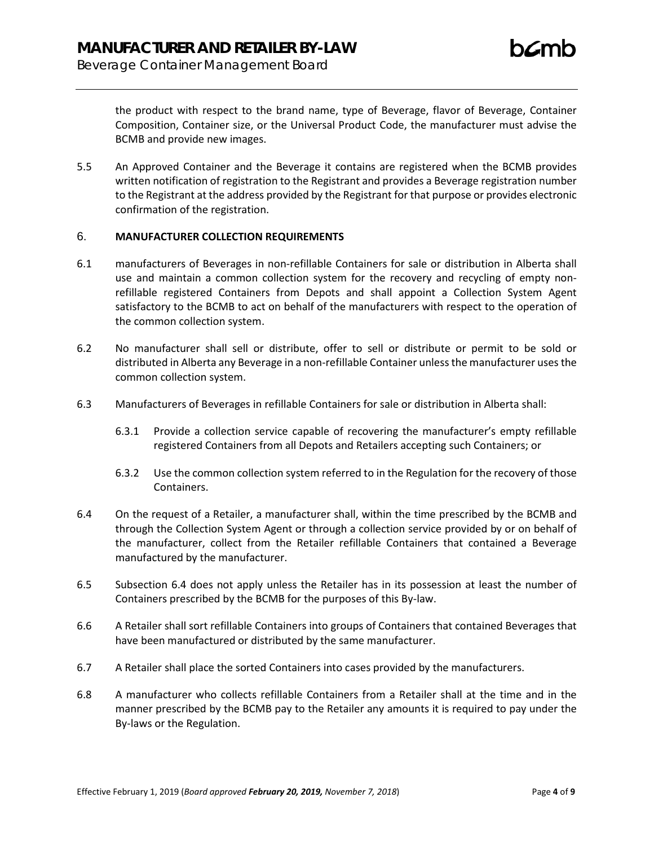the product with respect to the brand name, type of Beverage, flavor of Beverage, Container Composition, Container size, or the Universal Product Code, the manufacturer must advise the BCMB and provide new images.

5.5 An Approved Container and the Beverage it contains are registered when the BCMB provides written notification of registration to the Registrant and provides a Beverage registration number to the Registrant at the address provided by the Registrant for that purpose or provides electronic confirmation of the registration.

## 6. **MANUFACTURER COLLECTION REQUIREMENTS**

- 6.1 manufacturers of Beverages in non-refillable Containers for sale or distribution in Alberta shall use and maintain a common collection system for the recovery and recycling of empty nonrefillable registered Containers from Depots and shall appoint a Collection System Agent satisfactory to the BCMB to act on behalf of the manufacturers with respect to the operation of the common collection system.
- 6.2 No manufacturer shall sell or distribute, offer to sell or distribute or permit to be sold or distributed in Alberta any Beverage in a non-refillable Container unless the manufacturer uses the common collection system.
- 6.3 Manufacturers of Beverages in refillable Containers for sale or distribution in Alberta shall:
	- 6.3.1 Provide a collection service capable of recovering the manufacturer's empty refillable registered Containers from all Depots and Retailers accepting such Containers; or
	- 6.3.2 Use the common collection system referred to in the Regulation for the recovery of those Containers.
- <span id="page-3-0"></span>6.4 On the request of a Retailer, a manufacturer shall, within the time prescribed by the BCMB and through the Collection System Agent or through a collection service provided by or on behalf of the manufacturer, collect from the Retailer refillable Containers that contained a Beverage manufactured by the manufacturer.
- 6.5 Subsection [6.4](#page-3-0) does not apply unless the Retailer has in its possession at least the number of Containers prescribed by the BCMB for the purposes of this By-law.
- 6.6 A Retailer shall sort refillable Containers into groups of Containers that contained Beverages that have been manufactured or distributed by the same manufacturer.
- 6.7 A Retailer shall place the sorted Containers into cases provided by the manufacturers.
- 6.8 A manufacturer who collects refillable Containers from a Retailer shall at the time and in the manner prescribed by the BCMB pay to the Retailer any amounts it is required to pay under the By-laws or the Regulation.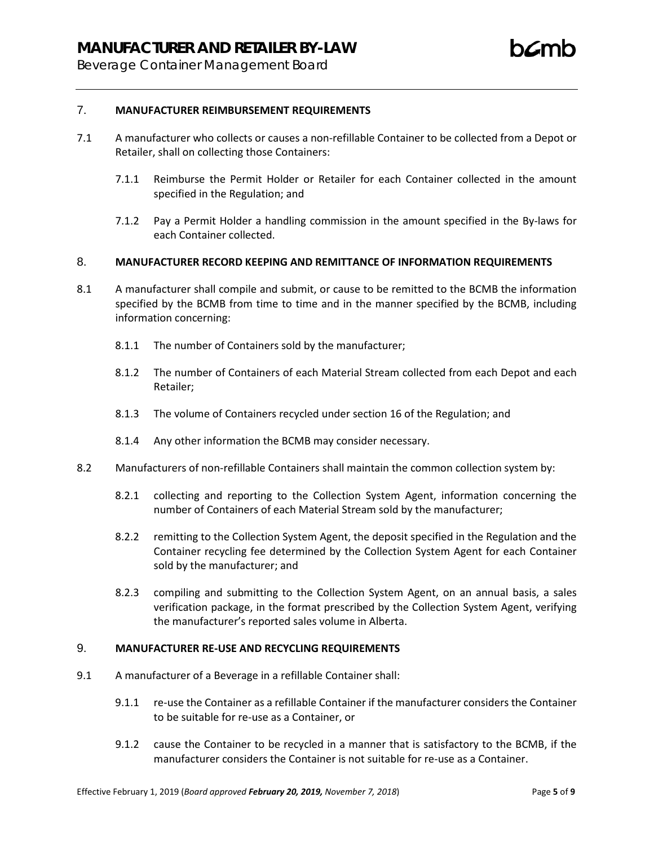- 7.1 A manufacturer who collects or causes a non-refillable Container to be collected from a Depot or Retailer, shall on collecting those Containers:
	- 7.1.1 Reimburse the Permit Holder or Retailer for each Container collected in the amount specified in the Regulation; and
	- 7.1.2 Pay a Permit Holder a handling commission in the amount specified in the By-laws for each Container collected.

## 8. **MANUFACTURER RECORD KEEPING AND REMITTANCE OF INFORMATION REQUIREMENTS**

- 8.1 A manufacturer shall compile and submit, or cause to be remitted to the BCMB the information specified by the BCMB from time to time and in the manner specified by the BCMB, including information concerning:
	- 8.1.1 The number of Containers sold by the manufacturer;
	- 8.1.2 The number of Containers of each Material Stream collected from each Depot and each Retailer;
	- 8.1.3 The volume of Containers recycled under section 16 of the Regulation; and
	- 8.1.4 Any other information the BCMB may consider necessary.
- 8.2 Manufacturers of non-refillable Containers shall maintain the common collection system by:
	- 8.2.1 collecting and reporting to the Collection System Agent, information concerning the number of Containers of each Material Stream sold by the manufacturer;
	- 8.2.2 remitting to the Collection System Agent, the deposit specified in the Regulation and the Container recycling fee determined by the Collection System Agent for each Container sold by the manufacturer; and
	- 8.2.3 compiling and submitting to the Collection System Agent, on an annual basis, a sales verification package, in the format prescribed by the Collection System Agent, verifying the manufacturer's reported sales volume in Alberta.

## 9. **MANUFACTURER RE-USE AND RECYCLING REQUIREMENTS**

- 9.1 A manufacturer of a Beverage in a refillable Container shall:
	- 9.1.1 re-use the Container as a refillable Container if the manufacturer considers the Container to be suitable for re-use as a Container, or
	- 9.1.2 cause the Container to be recycled in a manner that is satisfactory to the BCMB, if the manufacturer considers the Container is not suitable for re-use as a Container.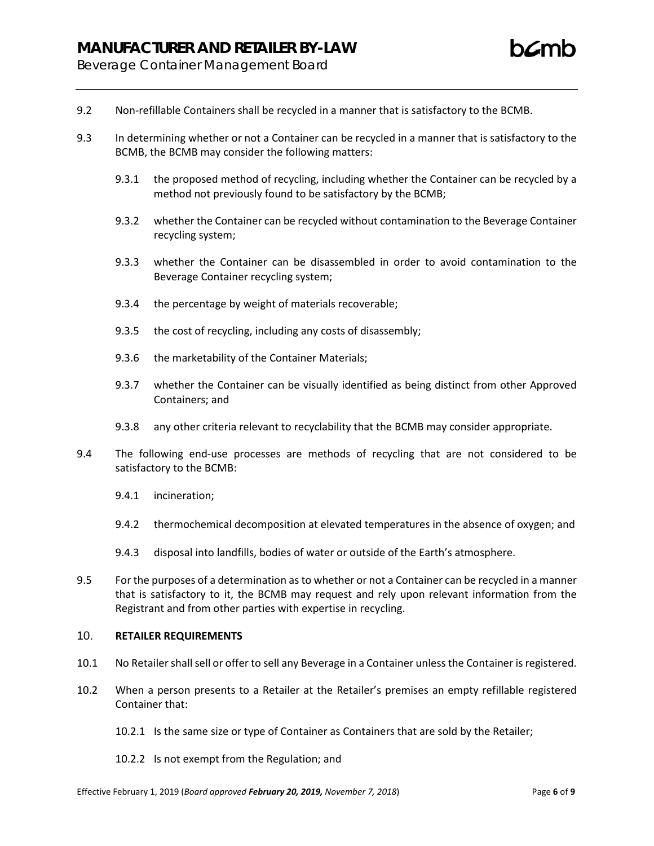- 9.2 Non-refillable Containers shall be recycled in a manner that is satisfactory to the BCMB.
- 9.3 In determining whether or not a Container can be recycled in a manner that is satisfactory to the BCMB, the BCMB may consider the following matters:
	- 9.3.1 the proposed method of recycling, including whether the Container can be recycled by a method not previously found to be satisfactory by the BCMB;
	- 9.3.2 whether the Container can be recycled without contamination to the Beverage Container recycling system;
	- 9.3.3 whether the Container can be disassembled in order to avoid contamination to the Beverage Container recycling system;
	- 9.3.4 the percentage by weight of materials recoverable;
	- 9.3.5 the cost of recycling, including any costs of disassembly;
	- 9.3.6 the marketability of the Container Materials;
	- 9.3.7 whether the Container can be visually identified as being distinct from other Approved Containers; and
	- 9.3.8 any other criteria relevant to recyclability that the BCMB may consider appropriate.
- 9.4 The following end-use processes are methods of recycling that are not considered to be satisfactory to the BCMB:
	- 9.4.1 incineration;
	- 9.4.2 thermochemical decomposition at elevated temperatures in the absence of oxygen; and
	- 9.4.3 disposal into landfills, bodies of water or outside of the Earth's atmosphere.
- 9.5 For the purposes of a determination as to whether or not a Container can be recycled in a manner that is satisfactory to it, the BCMB may request and rely upon relevant information from the Registrant and from other parties with expertise in recycling.

## 10. **RETAILER REQUIREMENTS**

- 10.1 No Retailer shall sell or offer to sell any Beverage in a Container unless the Container is registered.
- 10.2 When a person presents to a Retailer at the Retailer's premises an empty refillable registered Container that:
	- 10.2.1 Is the same size or type of Container as Containers that are sold by the Retailer;
	- 10.2.2 Is not exempt from the Regulation; and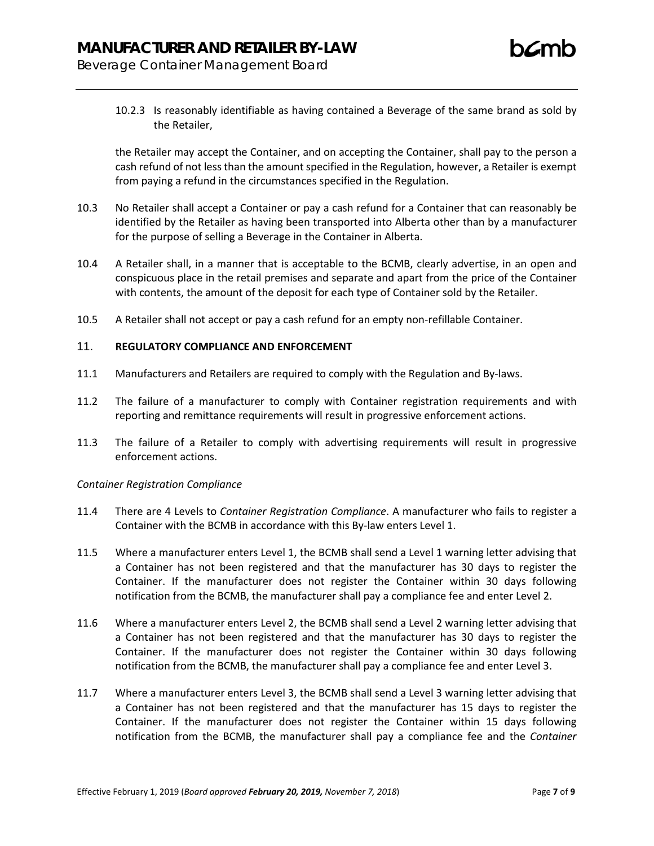Beverage Container Management Board

10.2.3 Is reasonably identifiable as having contained a Beverage of the same brand as sold by the Retailer,

the Retailer may accept the Container, and on accepting the Container, shall pay to the person a cash refund of not less than the amount specified in the Regulation, however, a Retailer is exempt from paying a refund in the circumstances specified in the Regulation.

- 10.3 No Retailer shall accept a Container or pay a cash refund for a Container that can reasonably be identified by the Retailer as having been transported into Alberta other than by a manufacturer for the purpose of selling a Beverage in the Container in Alberta.
- 10.4 A Retailer shall, in a manner that is acceptable to the BCMB, clearly advertise, in an open and conspicuous place in the retail premises and separate and apart from the price of the Container with contents, the amount of the deposit for each type of Container sold by the Retailer.
- 10.5 A Retailer shall not accept or pay a cash refund for an empty non-refillable Container.

## 11. **REGULATORY COMPLIANCE AND ENFORCEMENT**

- 11.1 Manufacturers and Retailers are required to comply with the Regulation and By-laws.
- 11.2 The failure of a manufacturer to comply with Container registration requirements and with reporting and remittance requirements will result in progressive enforcement actions.
- 11.3 The failure of a Retailer to comply with advertising requirements will result in progressive enforcement actions.

## *Container Registration Compliance*

- 11.4 There are 4 Levels to *Container Registration Compliance*. A manufacturer who fails to register a Container with the BCMB in accordance with this By-law enters Level 1.
- 11.5 Where a manufacturer enters Level 1, the BCMB shall send a Level 1 warning letter advising that a Container has not been registered and that the manufacturer has 30 days to register the Container. If the manufacturer does not register the Container within 30 days following notification from the BCMB, the manufacturer shall pay a compliance fee and enter Level 2.
- 11.6 Where a manufacturer enters Level 2, the BCMB shall send a Level 2 warning letter advising that a Container has not been registered and that the manufacturer has 30 days to register the Container. If the manufacturer does not register the Container within 30 days following notification from the BCMB, the manufacturer shall pay a compliance fee and enter Level 3.
- 11.7 Where a manufacturer enters Level 3, the BCMB shall send a Level 3 warning letter advising that a Container has not been registered and that the manufacturer has 15 days to register the Container. If the manufacturer does not register the Container within 15 days following notification from the BCMB, the manufacturer shall pay a compliance fee and the *Container*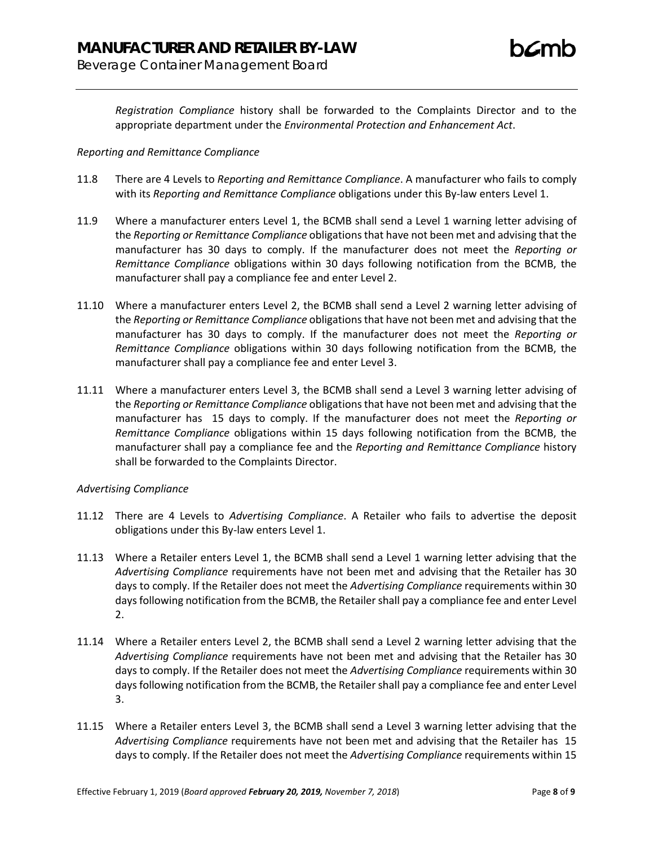*Registration Compliance* history shall be forwarded to the Complaints Director and to the appropriate department under the *Environmental Protection and Enhancement Act*.

#### *Reporting and Remittance Compliance*

- 11.8 There are 4 Levels to *Reporting and Remittance Compliance*. A manufacturer who fails to comply with its *Reporting and Remittance Compliance* obligations under this By-law enters Level 1.
- 11.9 Where a manufacturer enters Level 1, the BCMB shall send a Level 1 warning letter advising of the *Reporting or Remittance Compliance* obligations that have not been met and advising that the manufacturer has 30 days to comply. If the manufacturer does not meet the *Reporting or Remittance Compliance* obligations within 30 days following notification from the BCMB, the manufacturer shall pay a compliance fee and enter Level 2.
- 11.10 Where a manufacturer enters Level 2, the BCMB shall send a Level 2 warning letter advising of the *Reporting or Remittance Compliance* obligations that have not been met and advising that the manufacturer has 30 days to comply. If the manufacturer does not meet the *Reporting or Remittance Compliance* obligations within 30 days following notification from the BCMB, the manufacturer shall pay a compliance fee and enter Level 3.
- 11.11 Where a manufacturer enters Level 3, the BCMB shall send a Level 3 warning letter advising of the *Reporting or Remittance Compliance* obligations that have not been met and advising that the manufacturer has 15 days to comply. If the manufacturer does not meet the *Reporting or Remittance Compliance* obligations within 15 days following notification from the BCMB, the manufacturer shall pay a compliance fee and the *Reporting and Remittance Compliance* history shall be forwarded to the Complaints Director.

## *Advertising Compliance*

- 11.12 There are 4 Levels to *Advertising Compliance*. A Retailer who fails to advertise the deposit obligations under this By-law enters Level 1.
- 11.13 Where a Retailer enters Level 1, the BCMB shall send a Level 1 warning letter advising that the *Advertising Compliance* requirements have not been met and advising that the Retailer has 30 days to comply. If the Retailer does not meet the *Advertising Compliance* requirements within 30 days following notification from the BCMB, the Retailer shall pay a compliance fee and enter Level 2.
- 11.14 Where a Retailer enters Level 2, the BCMB shall send a Level 2 warning letter advising that the *Advertising Compliance* requirements have not been met and advising that the Retailer has 30 days to comply. If the Retailer does not meet the *Advertising Compliance* requirements within 30 days following notification from the BCMB, the Retailer shall pay a compliance fee and enter Level 3.
- 11.15 Where a Retailer enters Level 3, the BCMB shall send a Level 3 warning letter advising that the *Advertising Compliance* requirements have not been met and advising that the Retailer has 15 days to comply. If the Retailer does not meet the *Advertising Compliance* requirements within 15